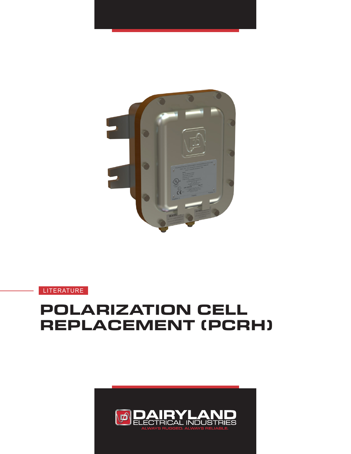

**LITERATURE** 

# **POLARIZATION CELL REPLACEMENT (PCRH)**

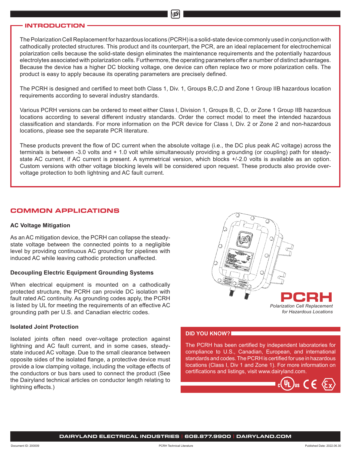# **INTRODUCTION**

The Polarization Cell Replacement for hazardous locations (PCRH) is a solid-state device commonly used in conjunction with cathodically protected structures. This product and its counterpart, the PCR, are an ideal replacement for electrochemical polarization cells because the solid-state design eliminates the maintenance requirements and the potentially hazardous electrolytes associated with polarization cells. Furthermore, the operating parameters offer a number of distinct advantages. Because the device has a higher DC blocking voltage, one device can often replace two or more polarization cells. The product is easy to apply because its operating parameters are precisely defined.

The PCRH is designed and certified to meet both Class 1, Div. 1, Groups B,C,D and Zone 1 Group IIB hazardous location requirements according to several industry standards.

Various PCRH versions can be ordered to meet either Class I, Division 1, Groups B, C, D, or Zone 1 Group IIB hazardous locations according to several different industry standards. Order the correct model to meet the intended hazardous classification and standards. For more information on the PCR device for Class I, Div. 2 or Zone 2 and non-hazardous locations, please see the separate PCR literature.

These products prevent the flow of DC current when the absolute voltage (i.e., the DC plus peak AC voltage) across the terminals is between -3.0 volts and + 1.0 volt while simultaneously providing a grounding (or coupling) path for steadystate AC current, if AC current is present. A symmetrical version, which blocks +/-2.0 volts is available as an option. Custom versions with other voltage blocking levels will be considered upon request. These products also provide overvoltage protection to both lightning and AC fault current.

# **COMMON APPLICATIONS**

#### **AC Voltage Mitigation**

As an AC mitigation device, the PCRH can collapse the steadystate voltage between the connected points to a negligible level by providing continuous AC grounding for pipelines with induced AC while leaving cathodic protection unaffected.

# **Decoupling Electric Equipment Grounding Systems**

When electrical equipment is mounted on a cathodically protected structure, the PCRH can provide DC isolation with fault rated AC continuity. As grounding codes apply, the PCRH is listed by UL for meeting the requirements of an effective AC grounding path per U.S. and Canadian electric codes.

# **Isolated Joint Protection**

Isolated joints often need over-voltage protection against lightning and AC fault current, and in some cases, steadystate induced AC voltage. Due to the small clearance between opposite sides of the isolated flange, a protective device must provide a low clamping voltage, including the voltage effects of the conductors or bus bars used to connect the product (See the Dairyland technical articles on conductor length relating to lightning effects.)



### **DID YOU KNOW?**

The PCRH has been certified by independent laboratories for compliance to U.S., Canadian, European, and international standards and codes. The PCRH is certified for use in hazardous locations (Class I, Div 1 and Zone 1). For more information on certifications and listings, visit www.dairyland.com.

 $(\Psi L)$ us  $C \in \langle \epsilon_X \rangle$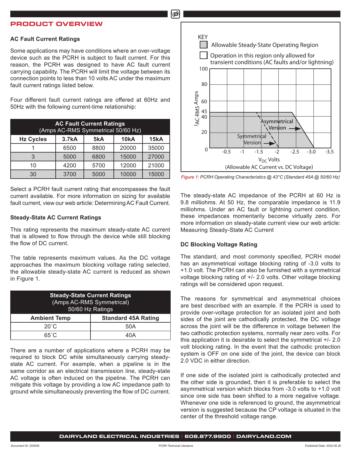# **PRODUCT OVERVIEW**

### **AC Fault Current Ratings**

Some applications may have conditions where an over-voltage device such as the PCRH is subject to fault current. For this reason, the PCRH was designed to have AC fault current carrying capability. The PCRH will limit the voltage between its connection points to less than 10 volts AC under the maximum fault current ratings listed below.

Four different fault current ratings are offered at 60Hz and 50Hz with the following current-time relationship:

| <b>AC Fault Current Ratings</b><br>(Amps AC-RMS Symmetrical 50/60 Hz) |       |      |             |       |  |
|-----------------------------------------------------------------------|-------|------|-------------|-------|--|
| <b>Hz Cycles</b>                                                      | 3.7kA | 5kA  | <b>10kA</b> | 15kA  |  |
|                                                                       | 6500  | 8800 | 20000       | 35000 |  |
| 3                                                                     | 5000  | 6800 | 15000       | 27000 |  |
| 10                                                                    | 4200  | 5700 | 12000       | 21000 |  |
| 30                                                                    | 3700  | 5000 | 10000       | 15000 |  |

Select a PCRH fault current rating that encompasses the fault current available. For more information on sizing for available fault current, view our web article: Determining AC Fault Current.

### **Steady-State AC Current Ratings**

This rating represents the maximum steady-state AC current that is allowed to flow through the device while still blocking the flow of DC current.

The table represents maximum values. As the DC voltage approaches the maximum blocking voltage rating selected, the allowable steady-state AC current is reduced as shown in Figure 1.

| <b>Steady-State Current Ratings</b><br>(Amps AC-RMS Symmetrical)<br>50/60 Hz Ratings |                            |  |  |
|--------------------------------------------------------------------------------------|----------------------------|--|--|
| <b>Ambient Temp</b>                                                                  | <b>Standard 45A Rating</b> |  |  |
| $20^{\circ}$ C                                                                       | 50A                        |  |  |
| 65°C                                                                                 | 40 A                       |  |  |

There are a number of applications where a PCRH may be required to block DC while simultaneously carrying steadystate AC current. For example, when a pipeline is in the same corridor as an electrical transmission line, steady-state AC voltage is often induced on the pipeline. The PCRH can mitigate this voltage by providing a low AC impedance path to ground while simultaneously preventing the flow of DC current.



*Figure 1: PCRH Operating Characteristics @ 43°C (Standard 45A @ 50/60 Hz)*

The steady-state AC impedance of the PCRH at 60 Hz is 9.8 milliohms. At 50 Hz, the comparable impedance is 11.9 milliohms. Under an AC fault or lightning current condition, these impedances momentarily become virtually zero. For more information on steady-state current view our web article: Measuring Steady-State AC Current

# **DC Blocking Voltage Rating**

The standard, and most commonly specified, PCRH model has an asymmetrical voltage blocking rating of -3.0 volts to +1.0 volt. The PCRH can also be furnished with a symmetrical voltage blocking rating of +/- 2.0 volts. Other voltage blocking ratings will be considered upon request.

The reasons for symmetrical and asymmetrical choices are best described with an example. If the PCRH is used to provide over-voltage protection for an isolated joint and both sides of the joint are cathodically protected, the DC voltage across the joint will be the difference in voltage between the two cathodic protection systems, normally near zero volts. For this application it is desirable to select the symmetrical +/- 2.0 volt blocking rating. In the event that the cathodic protection system is OFF on one side of the joint, the device can block 2.0 VDC in either direction.

If one side of the isolated joint is cathodically protected and the other side is grounded, then it is preferable to select the asymmetrical version which blocks from -3.0 volts to +1.0 volt since one side has been shifted to a more negative voltage. Whenever one side is referenced to ground, the asymmetrical version is suggested because the CP voltage is situated in the center of the threshold voltage range.

**DAIRYLAND ELECTRICAL INDUSTRIES | 608.877.9900 | DAIRYLAND.COM**

மி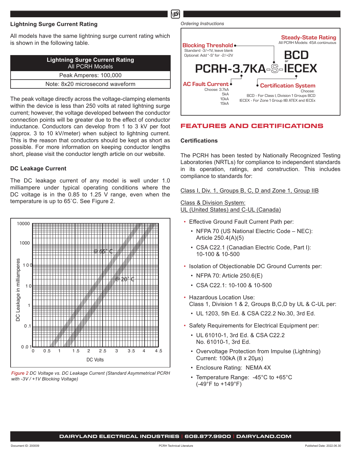# **Lightning Surge Current Rating**

All models have the same lightning surge current rating which is shown in the following table.

| <b>Lightning Surge Current Rating</b><br>All PCRH Models |  |
|----------------------------------------------------------|--|
| Peak Amperes: 100,000                                    |  |
| Note: 8x20 microsecond waveform                          |  |
|                                                          |  |

The peak voltage directly across the voltage-clamping elements within the device is less than 250 volts at rated lightning surge current; however, the voltage developed between the conductor connection points will be greater due to the effect of conductor inductance. Conductors can develop from 1 to 3 kV per foot (approx. 3 to 10 kV/meter) when subject to lightning current. This is the reason that conductors should be kept as short as possible. For more information on keeping conductor lengths short, please visit the conductor length article on our website.

# **DC Leakage Current**

The DC leakage current of any model is well under 1.0 milliampere under typical operating conditions where the DC voltage is in the 0.85 to 1.25 V range, even when the temperature is up to 65˚C. See Figure 2.



*Figure 2 DC Voltage vs. DC Leakage Current (Standard Asymmetrical PCRH* 



# **FEATURES AND CERTIFICATIONS**

### **Certifications**

Ď

The PCRH has been tested by Nationally Recognized Testing Laboratories (NRTLs) for compliance to independent standards in its operation, ratings, and construction. This includes compliance to standards for:

Class I, Div. 1, Groups B, C, D and Zone 1, Group IIB

Class & Division System: UL (United States) and C-UL (Canada)

- Effective Ground Fault Current Path per:
	- NFPA 70 (US National Electric Code NEC): Article 250.4(A)(5)
	- CSA C22.1 (Canadian Electric Code, Part I): 10-100 & 10-500
- Isolation of Objectionable DC Ground Currents per:
	- NFPA 70: Article 250.6(E)
	- CSA C22.1: 10-100 & 10-500
- Hazardous Location Use: Class 1, Division 1 & 2, Groups B,C,D by UL & C-UL per:
	- UL 1203, 5th Ed. & CSA C22.2 No.30, 3rd Ed.
- Safety Requirements for Electrical Equipment per:
	- UL 61010-1, 3rd Ed. & CSA C22.2 No. 61010-1, 3rd Ed.
	- Overvoltage Protection from Impulse (Lightning) Current: 100kA (8 x 20µs)
	- Enclosure Rating: NEMA 4X
	- Temperature Range: -45°C to +65°C (-49°F to +149°F)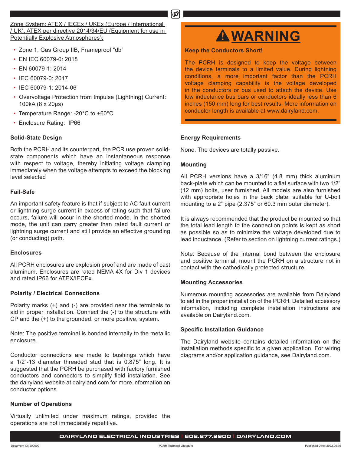Zone System: ATEX / IECEx / UKEx (Europe / International / UK). ATEX per directive 2014/34/EU (Equipment for use in Potentially Explosive Atmospheres):

- Zone 1, Gas Group IIB, Frameproof "db"
- EN IEC 60079-0: 2018
- EN 60079-1: 2014
- IEC 60079-0: 2017
- IEC 60079-1: 2014-06
- Overvoltage Protection from Impulse (Lightning) Current: 100kA (8 x 20µs)
- Temperature Range: -20°C to +60°C
- Enclosure Rating: IP66

# **Solid-State Design**

Both the PCRH and its counterpart, the PCR use proven solidstate components which have an instantaneous response with respect to voltage, thereby initiating voltage clamping immediately when the voltage attempts to exceed the blocking level selected

# **Fail-Safe**

An important safety feature is that if subject to AC fault current or lightning surge current in excess of rating such that failure occurs, failure will occur in the shorted mode. In the shorted mode, the unit can carry greater than rated fault current or lightning surge current and still provide an effective grounding (or conducting) path.

# **Enclosures**

All PCRH enclosures are explosion proof and are made of cast aluminum. Enclosures are rated NEMA 4X for Div 1 devices and rated IP66 for ATEX/IECEx.

### **Polarity / Electrical Connections**

Polarity marks (+) and (-) are provided near the terminals to aid in proper installation. Connect the (-) to the structure with CP and the (+) to the grounded, or more positive, system.

Note: The positive terminal is bonded internally to the metallic enclosure.

Conductor connections are made to bushings which have a 1/2"-13 diameter threaded stud that is 0.875" long. It is suggested that the PCRH be purchased with factory furnished conductors and connectors to simplify field installation. See the dairyland website at dairyland.com for more information on conductor options.

# **Number of Operations**

Virtually unlimited under maximum ratings, provided the operations are not immediately repetitive.

# **WARNING**

**Keep the Conductors Short!**

The PCRH is designed to keep the voltage between the device terminals to a limited value. During lightning conditions, a more important factor than the PCRH voltage clamping capability is the voltage developed in the conductors or bus used to attach the device. Use low inductance bus bars or conductors ideally less than 6 inches (150 mm) long for best results. More information on conductor length is available at www.dairyland.com.

### **Energy Requirements**

None. The devices are totally passive.

# **Mounting**

∖ם

All PCRH versions have a 3/16" (4.8 mm) thick aluminum back-plate which can be mounted to a flat surface with two 1/2" (12 mm) bolts, user furnished. All models are also furnished with appropriate holes in the back plate, suitable for U-bolt mounting to a 2" pipe (2.375" or 60.3 mm outer diameter).

It is always recommended that the product be mounted so that the total lead length to the connection points is kept as short as possible so as to minimize the voltage developed due to lead inductance. (Refer to section on lightning current ratings.)

Note: Because of the internal bond between the enclosure and positive terminal, mount the PCRH on a structure not in contact with the cathodically protected structure.

### **Mounting Accessories**

Numerous mounting accessories are available from Dairyland to aid in the proper installation of the PCRH. Detailed accessory information, including complete installation instructions are available on Dairyland.com.

### **Specific Installation Guidance**

The Dairyland website contains detailed information on the installation methods specific to a given application. For wiring diagrams and/or application guidance, see Dairyland.com.